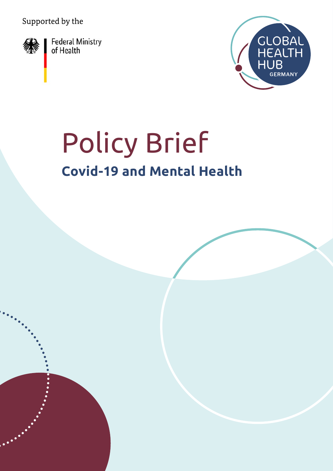Supported by the



Federal Ministry<br>of Health



# Policy Brief **Covid-19 and Mental Health**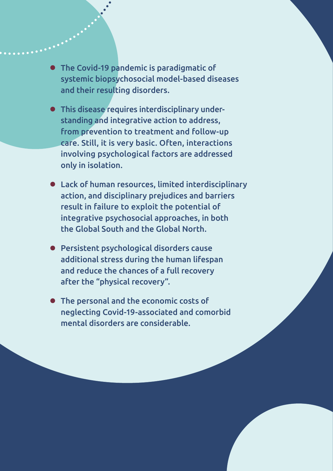- **•** The Covid-19 pandemic is paradigmatic of systemic biopsychosocial model-based diseases and their resulting disorders.
- **•** This disease requires interdisciplinary understanding and integrative action to address, from prevention to treatment and follow-up care. Still, it is very basic. Often, interactions involving psychological factors are addressed only in isolation.
- **•** Lack of human resources, limited interdisciplinary action, and disciplinary prejudices and barriers result in failure to exploit the potential of integrative psychosocial approaches, in both the Global South and the Global North.
- **•** Persistent psychological disorders cause additional stress during the human lifespan and reduce the chances of a full recovery after the "physical recovery".
- **•** The personal and the economic costs of neglecting Covid-19-associated and comorbid mental disorders are considerable.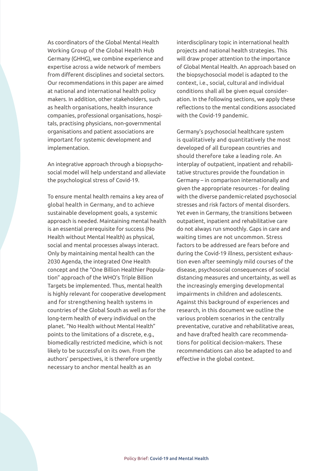As coordinators of the Global Mental Health Working Group of the Global Health Hub Germany (GHHG), we combine experience and expertise across a wide network of members from different disciplines and societal sectors. Our recommendations in this paper are aimed at national and international health policy makers. In addition, other stakeholders, such as health organisations, health insurance companies, professional organisations, hospitals, practising physicians, non-governmental organisations and patient associations are important for systemic development and implementation.

An integrative approach through a biopsychosocial model will help understand and alleviate the psychological stress of Covid-19.

To ensure mental health remains a key area of global health in Germany, and to achieve sustainable development goals, a systemic approach is needed. Maintaining mental health is an essential prerequisite for success (No Health without Mental Health) as physical, social and mental processes always interact. Only by maintaining mental health can the 2030 Agenda, the integrated One Health concept and the "One Billion Healthier Population" approach of the WHO's Triple Billion Targets be implemented. Thus, mental health is highly relevant for cooperative development and for strengthening health systems in countries of the Global South as well as for the long-term health of every individual on the planet. "No Health without Mental Health" points to the limitations of a discrete, e.g., biomedically restricted medicine, which is not likely to be successful on its own. From the authors' perspectives, it is therefore urgently necessary to anchor mental health as an

interdisciplinary topic in international health projects and national health strategies. This will draw proper attention to the importance of Global Mental Health. An approach based on the biopsychosocial model is adapted to the context, i.e., social, cultural and individual conditions shall all be given equal consideration. In the following sections, we apply these reflections to the mental conditions associated with the Covid-19 pandemic.

Germany's psychosocial healthcare system is qualitatively and quantitatively the most developed of all European countries and should therefore take a leading role. An interplay of outpatient, inpatient and rehabilitative structures provide the foundation in Germany – in comparison internationally and given the appropriate resources - for dealing with the diverse pandemic-related psychosocial stresses and risk factors of mental disorders. Yet even in Germany, the transitions between outpatient, inpatient and rehabilitative care do not always run smoothly. Gaps in care and waiting times are not uncommon. Stress factors to be addressed are fears before and during the Covid-19 illness, persistent exhaustion even after seemingly mild courses of the disease, psychosocial consequences of social distancing measures and uncertainty, as well as the increasingly emerging developmental impairments in children and adolescents. Against this background of experiences and research, in this document we outline the various problem scenarios in the centrally preventative, curative and rehabilitative areas, and have drafted health care recommendations for political decision-makers. These recommendations can also be adapted to and effective in the global context.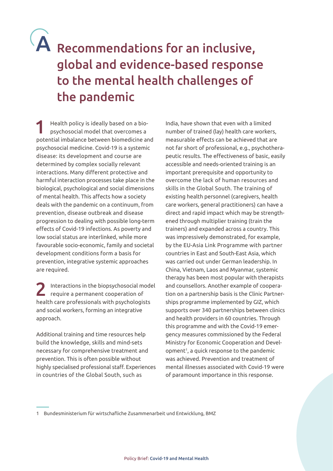### A Recommendations for an inclusive, global and evidence-based response to the mental health challenges of the pandemic

1 Health policy is ideally based on a bio-psychosocial model that overcomes a potential imbalance between biomedicine and psychosocial medicine. Covid-19 is a systemic disease: its development and course are determined by complex socially relevant interactions. Many different protective and harmful interaction processes take place in the biological, psychological and social dimensions of mental health. This affects how a society deals with the pandemic on a continuum, from prevention, disease outbreak and disease progression to dealing with possible long-term effects of Covid-19 infections. As poverty and low social status are interlinked, while more favourable socio-economic, family and societal development conditions form a basis for prevention, integrative systemic approaches are required.

2 Interactions in the biopsychosocial model require a permanent cooperation of health care professionals with psychologists and social workers, forming an integrative approach.

Additional training and time resources help build the knowledge, skills and mind-sets necessary for comprehensive treatment and prevention. This is often possible without highly specialised professional staff. Experiences in countries of the Global South, such as

India, have shown that even with a limited number of trained (lay) health care workers, measurable effects can be achieved that are not far short of professional, e.g., psychotherapeutic results. The effectiveness of basic, easily accessible and needs-oriented training is an important prerequisite and opportunity to overcome the lack of human resources and skills in the Global South. The training of existing health personnel (caregivers, health care workers, general practitioners) can have a direct and rapid impact which may be strengthened through multiplier training (train the trainers) and expanded across a country. This was impressively demonstrated, for example, by the EU-Asia Link Programme with partner countries in East and South-East Asia, which was carried out under German leadership. In China, Vietnam, Laos and Myanmar, systemic therapy has been most popular with therapists and counsellors. Another example of cooperation on a partnership basis is the Clinic Partnerships programme implemented by GIZ, which supports over 340 partnerships between clinics and health providers in 60 countries. Through this programme and with the Covid-19 emergency measures commissioned by the Federal Ministry for Economic Cooperation and Development<sup>1</sup>, a quick response to the pandemic was achieved. Prevention and treatment of mental illnesses associated with Covid-19 were of paramount importance in this response.

<sup>1</sup> Bundesministerium für wirtschafliche Zusammenarbeit und Entwicklung, BMZ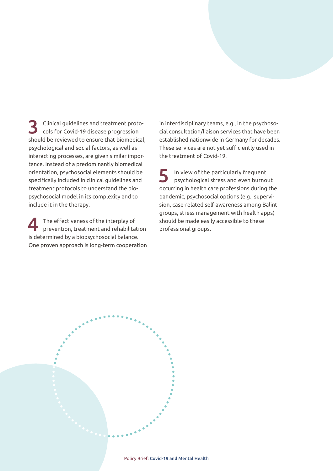3 Clinical guidelines and treatment protocols for Covid-19 disease progression should be reviewed to ensure that biomedical, psychological and social factors, as well as interacting processes, are given similar importance. Instead of a predominantly biomedical orientation, psychosocial elements should be specifically included in clinical guidelines and treatment protocols to understand the biopsychosocial model in its complexity and to include it in the therapy.

The effectiveness of the interplay of<br>prevention, treatment and rehabilitation is determined by a biopsychosocial balance. One proven approach is long-term cooperation in interdisciplinary teams, e.g., in the psychosocial consultation/liaison services that have been established nationwide in Germany for decades. These services are not yet sufficiently used in the treatment of Covid-19.

5 In view of the particularly frequent psychological stress and even burnout occurring in health care professions during the pandemic, psychosocial options (e.g., supervision, case-related self-awareness among Balint groups, stress management with health apps) should be made easily accessible to these professional groups.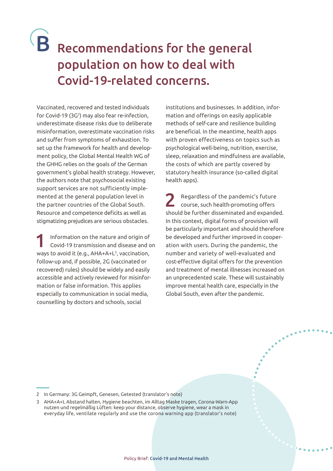### B Recommendations for the general population on how to deal with Covid-19-related concerns.

Vaccinated, recovered and tested individuals for Covid-19 (3G2 ) may also fear re-infection, underestimate disease risks due to deliberate misinformation, overestimate vaccination risks and suffer from symptoms of exhaustion. To set up the framework for health and development policy, the Global Mental Health WG of the GHHG relies on the goals of the German government's global health strategy. However, the authors note that psychosocial existing support services are not sufficiently implemented at the general population level in the partner countries of the Global South. Resource and competence deficits as well as stigmatizing prejudices are serious obstacles.

1 Information on the nature and origin of Covid-19 transmission and disease and on ways to avoid it (e.g.,  $AHA+L^3$ , vaccination, follow-up and, if possible, 2G (vaccinated or recovered) rules) should be widely and easily accessible and actively reviewed for misinformation or false information. This applies especially to communication in social media, counselling by doctors and schools, social

institutions and businesses. In addition, information and offerings on easily applicable methods of self-care and resilience building are beneficial. In the meantime, health apps with proven effectiveness on topics such as psychological well-being, nutrition, exercise, sleep, relaxation and mindfulness are available, the costs of which are partly covered by statutory health insurance (so-called digital health apps).

2 Regardless of the pandemic's future course, such health-promoting offers should be further disseminated and expanded. In this context, digital forms of provision will be particularly important and should therefore be developed and further improved in cooperation with users. During the pandemic, the number and variety of well-evaluated and cost-effective digital offers for the prevention and treatment of mental illnesses increased on an unprecedented scale. These will sustainably improve mental health care, especially in the Global South, even after the pandemic.

<sup>2</sup> In Germany: 3G Geimpft, Genesen, Getested (translator's note)

<sup>3</sup> AHA+A+L Abstand halten, Hygiene beachten, im Alltag Maske tragen, Corona-Warn-App nutzen und regelmäßig Lüften: keep your distance, observe hygiene, wear a mask in everyday life, ventilate regularly and use the corona warning app (translator's note)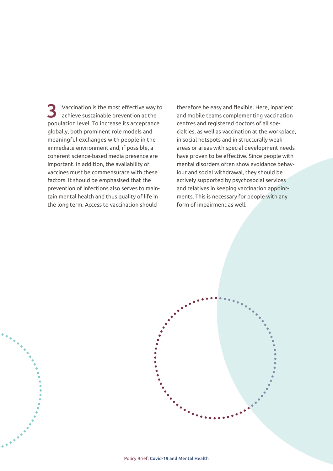Vaccination is the most effective way to achieve sustainable prevention at the population level. To increase its acceptance globally, both prominent role models and meaningful exchanges with people in the immediate environment and, if possible, a coherent science-based media presence are important. In addition, the availability of vaccines must be commensurate with these factors. It should be emphasised that the prevention of infections also serves to maintain mental health and thus quality of life in the long term. Access to vaccination should

therefore be easy and flexible. Here, inpatient and mobile teams complementing vaccination centres and registered doctors of all specialties, as well as vaccination at the workplace, in social hotspots and in structurally weak areas or areas with special development needs have proven to be effective. Since people with mental disorders often show avoidance behaviour and social withdrawal, they should be actively supported by psychosocial services and relatives in keeping vaccination appointments. This is necessary for people with any form of impairment as well.

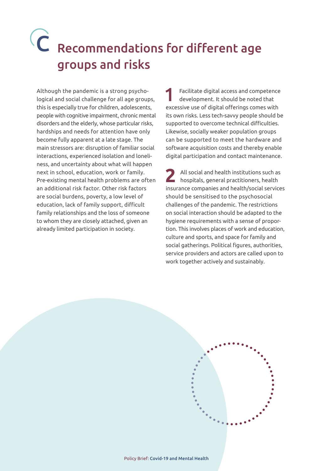## Recommendations for different age C groups and risks

Although the pandemic is a strong psychological and social challenge for all age groups, this is especially true for children, adolescents, people with cognitive impairment, chronic mental disorders and the elderly, whose particular risks, hardships and needs for attention have only become fully apparent at a late stage. The main stressors are: disruption of familiar social interactions, experienced isolation and loneliness, and uncertainty about what will happen next in school, education, work or family. Pre-existing mental health problems are often an additional risk factor. Other risk factors are social burdens, poverty, a low level of education, lack of family support, difficult family relationships and the loss of someone to whom they are closely attached, given an already limited participation in society.

1 Facilitate digital access and competence development. It should be noted that excessive use of digital offerings comes with its own risks. Less tech-savvy people should be supported to overcome technical difficulties. Likewise, socially weaker population groups can be supported to meet the hardware and software acquisition costs and thereby enable digital participation and contact maintenance.

**2** All social and health institutions such as hospitals, general practitioners, health insurance companies and health/social services should be sensitised to the psychosocial challenges of the pandemic. The restrictions on social interaction should be adapted to the hygiene requirements with a sense of proportion. This involves places of work and education, culture and sports, and space for family and social gatherings. Political figures, authorities, service providers and actors are called upon to work together actively and sustainably.

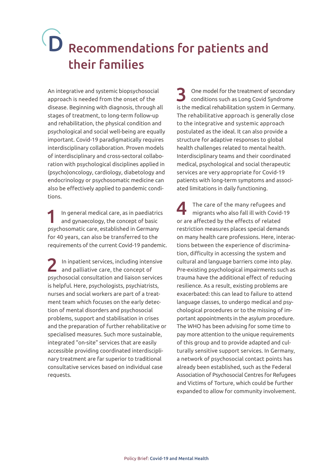## D Recommendations for patients and their families

An integrative and systemic biopsychosocial approach is needed from the onset of the disease. Beginning with diagnosis, through all stages of treatment, to long-term follow-up and rehabilitation, the physical condition and psychological and social well-being are equally important. Covid-19 paradigmatically requires interdisciplinary collaboration. Proven models of interdisciplinary and cross-sectoral collaboration with psychological disciplines applied in (psycho)oncology, cardiology, diabetology and endocrinology or psychosomatic medicine can also be effectively applied to pandemic conditions.

In general medical care, as in paediatrics and gynaecology, the concept of basic psychosomatic care, established in Germany for 40 years, can also be transferred to the requirements of the current Covid-19 pandemic.

2 In inpatient services, including intensive and palliative care, the concept of psychosocial consultation and liaison services is helpful. Here, psychologists, psychiatrists, nurses and social workers are part of a treatment team which focuses on the early detection of mental disorders and psychosocial problems, support and stabilisation in crises and the preparation of further rehabilitative or specialised measures. Such more sustainable, integrated "on-site" services that are easily accessible providing coordinated interdisciplinary treatment are far superior to traditional consultative services based on individual case requests.

3 One model for the treatment of secondary conditions such as Long Covid Syndrome is the medical rehabilitation system in Germany. The rehabilitative approach is generally close to the integrative and systemic approach postulated as the ideal. It can also provide a structure for adaptive responses to global health challenges related to mental health. Interdisciplinary teams and their coordinated medical, psychological and social therapeutic services are very appropriate for Covid-19 patients with long-term symptoms and associated limitations in daily functioning.

The care of the many refugees and migrants who also fall ill with Covid-19 or are affected by the effects of related restriction measures places special demands on many health care professions. Here, interactions between the experience of discrimination, difficulty in accessing the system and cultural and language barriers come into play. Pre-existing psychological impairments such as trauma have the additional effect of reducing resilience. As a result, existing problems are exacerbated: this can lead to failure to attend language classes, to undergo medical and psychological procedures or to the missing of important appointments in the asylum procedure. The WHO has been advising for some time to pay more attention to the unique requirements of this group and to provide adapted and culturally sensitive support services. In Germany, a network of psychosocial contact points has already been established, such as the Federal Association of Psychosocial Centres for Refugees and Victims of Torture, which could be further expanded to allow for community involvement.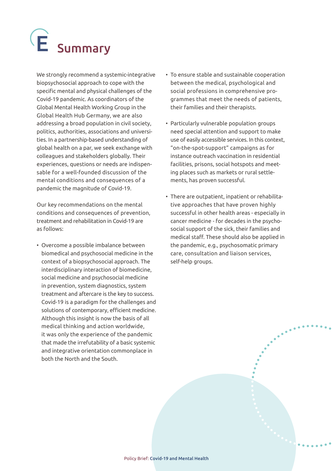# E Summary

We strongly recommend a systemic-integrative biopsychosocial approach to cope with the specific mental and physical challenges of the Covid-19 pandemic. As coordinators of the Global Mental Health Working Group in the Global Health Hub Germany, we are also addressing a broad population in civil society, politics, authorities, associations and universities. In a partnership-based understanding of global health on a par, we seek exchange with colleagues and stakeholders globally. Their experiences, questions or needs are indispensable for a well-founded discussion of the mental conditions and consequences of a pandemic the magnitude of Covid-19.

Our key recommendations on the mental conditions and consequences of prevention, treatment and rehabilitation in Covid-19 are as follows:

• Overcome a possible imbalance between biomedical and psychosocial medicine in the context of a biopsychosocial approach. The interdisciplinary interaction of biomedicine, social medicine and psychosocial medicine in prevention, system diagnostics, system treatment and aftercare is the key to success. Covid-19 is a paradigm for the challenges and solutions of contemporary, efficient medicine. Although this insight is now the basis of all medical thinking and action worldwide, it was only the experience of the pandemic that made the irrefutability of a basic systemic and integrative orientation commonplace in both the North and the South.

- To ensure stable and sustainable cooperation between the medical, psychological and social professions in comprehensive programmes that meet the needs of patients, their families and their therapists.
- Particularly vulnerable population groups need special attention and support to make use of easily accessible services. In this context, "on-the-spot-support" campaigns as for instance outreach vaccination in residential facilities, prisons, social hotspots and meeting places such as markets or rural settlements, has proven successful.
- There are outpatient, inpatient or rehabilitative approaches that have proven highly successful in other health areas - especially in cancer medicine - for decades in the psychosocial support of the sick, their families and medical staff. These should also be applied in the pandemic, e.g., psychosomatic primary care, consultation and liaison services, self-help groups.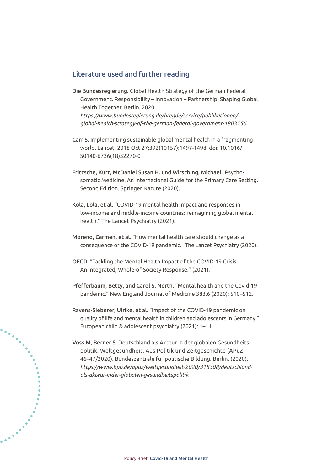#### Literature used and further reading

- Die Bundesregierung. Global Health Strategy of the German Federal Government. Responsibility – Innovation – Partnership: Shaping Global Health Together. Berlin. 2020. *[https://www.bundesregierung.de/bregde/service/publikationen/](https://www.bundesregierung.de/bregde/service/publikationen/global-health-strategy-of-the-german-federal-government-1803156) [global-health-strategy-of-the-german-federal-government-1803156](https://www.bundesregierung.de/bregde/service/publikationen/global-health-strategy-of-the-german-federal-government-1803156)*
- Carr S. Implementing sustainable global mental health in a fragmenting world. Lancet. 2018 Oct 27;392(10157):1497-1498. doi: 10.1016/ S0140-6736(18)32270-0
- Fritzsche, Kurt, McDaniel Susan H. und Wirsching, Michael "Psychosomatic Medicine. An International Guide for the Primary Care Setting." Second Edition. Springer Nature (2020).
- Kola, Lola, et al. "COVID-19 mental health impact and responses in low-income and middle-income countries: reimagining global mental health." The Lancet Psychiatry (2021).
- Moreno, Carmen, et al. "How mental health care should change as a consequence of the COVID-19 pandemic." The Lancet Psychiatry (2020).
- OECD. "Tackling the Mental Health Impact of the COVID-19 Crisis: An Integrated, Whole-of-Society Response." (2021).
- Pfefferbaum, Betty, and Carol S. North. "Mental health and the Covid-19 pandemic." New England Journal of Medicine 383.6 (2020): 510–512.
- Ravens-Sieberer, Ulrike, et al. "Impact of the COVID-19 pandemic on quality of life and mental health in children and adolescents in Germany." European child & adolescent psychiatry (2021): 1–11.
- Voss M, Berner S. Deutschland als Akteur in der globalen Gesundheitspolitik. Weltgesundheit. Aus Politik und Zeitgeschichte (APuZ 46–47/2020). Bundeszentrale für politische Bildung. Berlin. (2020). *[https://www.bpb.de/apuz/weltgesundheit-2020/318308/deutschland](https://www.bpb.de/apuz/weltgesundheit-2020/318308/deutschland-als-akteur-inder-globalen-gesundheitspolitik)[als-akteur-inder-globalen-gesundheitspolitik](https://www.bpb.de/apuz/weltgesundheit-2020/318308/deutschland-als-akteur-inder-globalen-gesundheitspolitik)*